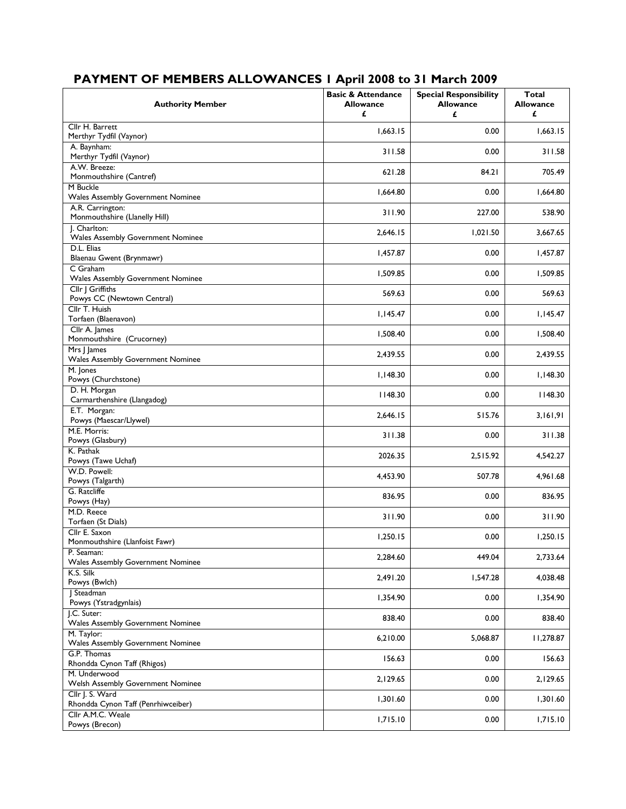| <b>Authority Member</b>                                  | <b>Basic &amp; Attendance</b><br><b>Allowance</b><br>£ | <b>Special Responsibility</b><br><b>Allowance</b><br>£ | <b>Total</b><br><b>Allowance</b><br>£ |
|----------------------------------------------------------|--------------------------------------------------------|--------------------------------------------------------|---------------------------------------|
| Cllr H. Barrett<br>Merthyr Tydfil (Vaynor)               | 1,663.15                                               | 0.00                                                   | 1,663.15                              |
| A. Baynham:<br>Merthyr Tydfil (Vaynor)                   | 311.58                                                 | 0.00                                                   | 311.58                                |
| A.W. Breeze:<br>Monmouthshire (Cantref)                  | 621.28                                                 | 84.21                                                  | 705.49                                |
| M Buckle<br>Wales Assembly Government Nominee            | 1,664.80                                               | 0.00                                                   | 1,664.80                              |
| A.R. Carrington:<br>Monmouthshire (Llanelly Hill)        | 311.90                                                 | 227.00                                                 | 538.90                                |
| I. Charlton:<br><b>Wales Assembly Government Nominee</b> | 2,646.15                                               | 1,021.50                                               | 3,667.65                              |
| D.L. Elias<br>Blaenau Gwent (Brynmawr)                   | 1,457.87                                               | 0.00                                                   | 1,457.87                              |
| C Graham<br>Wales Assembly Government Nominee            | 1,509.85                                               | 0.00                                                   | 1,509.85                              |
| Cllr   Griffiths<br>Powys CC (Newtown Central)           | 569.63                                                 | 0.00                                                   | 569.63                                |
| Cllr T. Huish<br>Torfaen (Blaenavon)                     | 1,145.47                                               | 0.00                                                   | 1,145.47                              |
| Cllr A. James<br>Monmouthshire (Crucorney)               | 1,508.40                                               | 0.00                                                   | 1,508.40                              |
| Mrs J James<br>Wales Assembly Government Nominee         | 2,439.55                                               | 0.00                                                   | 2,439.55                              |
| M. Jones<br>Powys (Churchstone)                          | 1,148.30                                               | 0.00                                                   | 1,148.30                              |
| D. H. Morgan<br>Carmarthenshire (Llangadog)              | 1148.30                                                | 0.00                                                   | 1148.30                               |
| E.T. Morgan:<br>Powys (Maescar/Llywel)                   | 2,646.15                                               | 515.76                                                 | 3,161,91                              |
| M.E. Morris:                                             | 311.38                                                 | 0.00                                                   | 311.38                                |
| Powys (Glasbury)<br>K. Pathak                            | 2026.35                                                | 2,515.92                                               | 4,542.27                              |
| Powys (Tawe Uchaf)<br>W.D. Powell:                       | 4,453.90                                               | 507.78                                                 | 4,961.68                              |
| Powys (Talgarth)<br>G. Ratcliffe                         | 836.95                                                 | 0.00                                                   | 836.95                                |
| Powys (Hay)<br>M.D. Reece                                | 311.90                                                 | 0.00                                                   | 311.90                                |
| Torfaen (St Dials)<br>Cllr E. Saxon                      | 1,250.15                                               | 0.00                                                   | 1,250.15                              |
| Monmouthshire (Llanfoist Fawr)<br>P. Seaman:             | 2,284.60                                               | 449.04                                                 | 2,733.64                              |
| Wales Assembly Government Nominee<br>K.S. Silk           | 2,491.20                                               | 1,547.28                                               | 4,038.48                              |
| Powys (Bwlch)<br>J Steadman                              |                                                        |                                                        |                                       |
| Powys (Ystradgynlais)<br>J.C. Suter:                     | 1,354.90                                               | 0.00                                                   | 1,354.90                              |
| Wales Assembly Government Nominee                        | 838.40                                                 | 0.00                                                   | 838.40                                |
| M. Taylor:<br>Wales Assembly Government Nominee          | 6,210.00                                               | 5,068.87                                               | 11,278.87                             |
| G.P. Thomas<br>Rhondda Cynon Taff (Rhigos)               | 156.63                                                 | 0.00                                                   | 156.63                                |
| M. Underwood<br>Welsh Assembly Government Nominee        | 2,129.65                                               | 0.00                                                   | 2,129.65                              |
| Cllr J. S. Ward<br>Rhondda Cynon Taff (Penrhiwceiber)    | 1,301.60                                               | 0.00                                                   | 1,301.60                              |
| Cllr A.M.C. Weale<br>Powys (Brecon)                      | 1,715.10                                               | 0.00                                                   | 1,715.10                              |

## **PAYMENT OF MEMBERS ALLOWANCES 1 April 2008 to 31 March 2009**